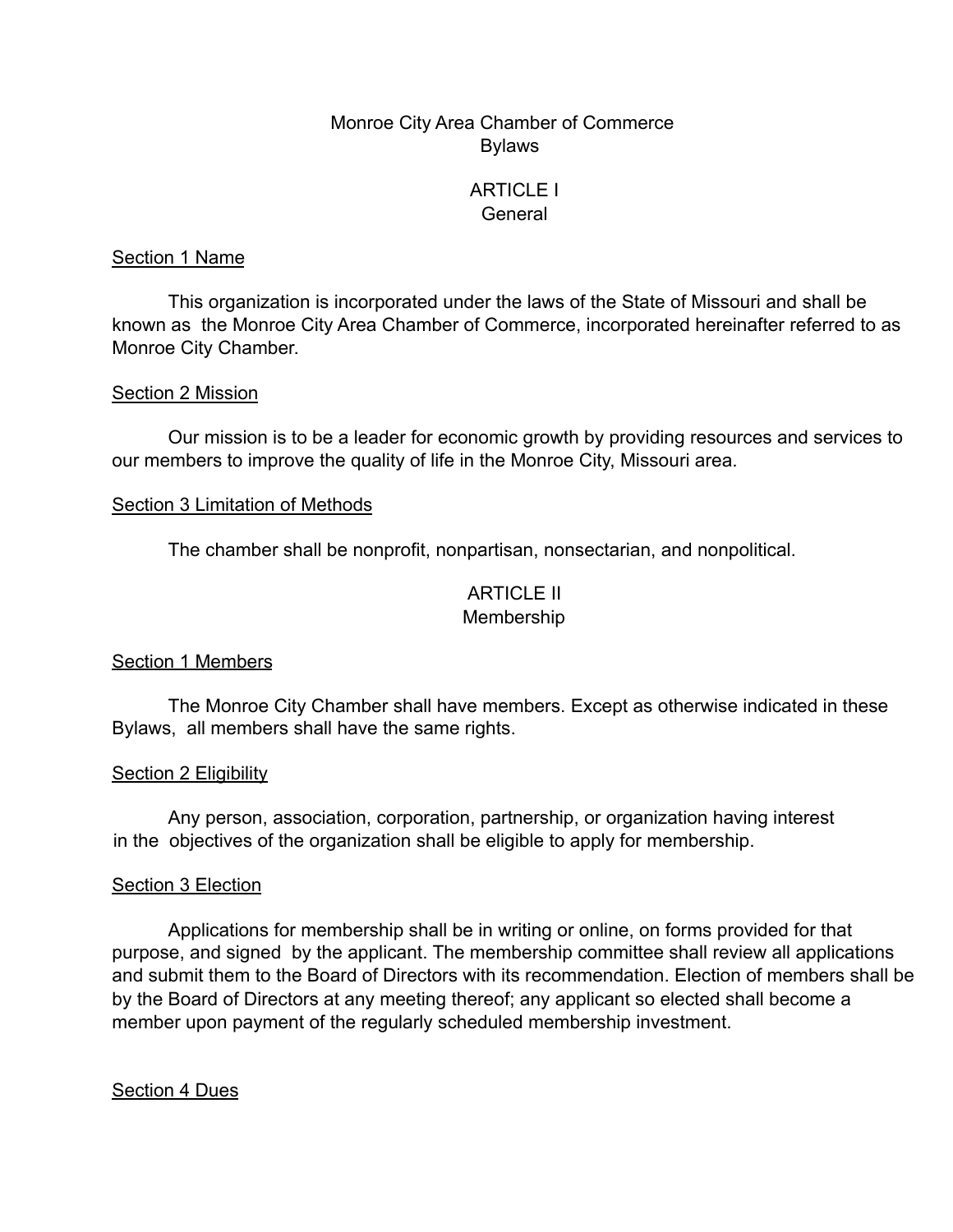# Monroe City Area Chamber of Commerce Bylaws

# ARTICLE I **General**

#### Section 1 Name

This organization is incorporated under the laws of the State of Missouri and shall be known as the Monroe City Area Chamber of Commerce, incorporated hereinafter referred to as Monroe City Chamber.

#### Section 2 Mission

Our mission is to be a leader for economic growth by providing resources and services to our members to improve the quality of life in the Monroe City, Missouri area.

#### Section 3 Limitation of Methods

The chamber shall be nonprofit, nonpartisan, nonsectarian, and nonpolitical.

# ARTICLE II Membership

# Section 1 Members

The Monroe City Chamber shall have members. Except as otherwise indicated in these Bylaws, all members shall have the same rights.

# Section 2 Eligibility

Any person, association, corporation, partnership, or organization having interest in the objectives of the organization shall be eligible to apply for membership.

# Section 3 Election

Applications for membership shall be in writing or online, on forms provided for that purpose, and signed by the applicant. The membership committee shall review all applications and submit them to the Board of Directors with its recommendation. Election of members shall be by the Board of Directors at any meeting thereof; any applicant so elected shall become a member upon payment of the regularly scheduled membership investment.

# Section 4 Dues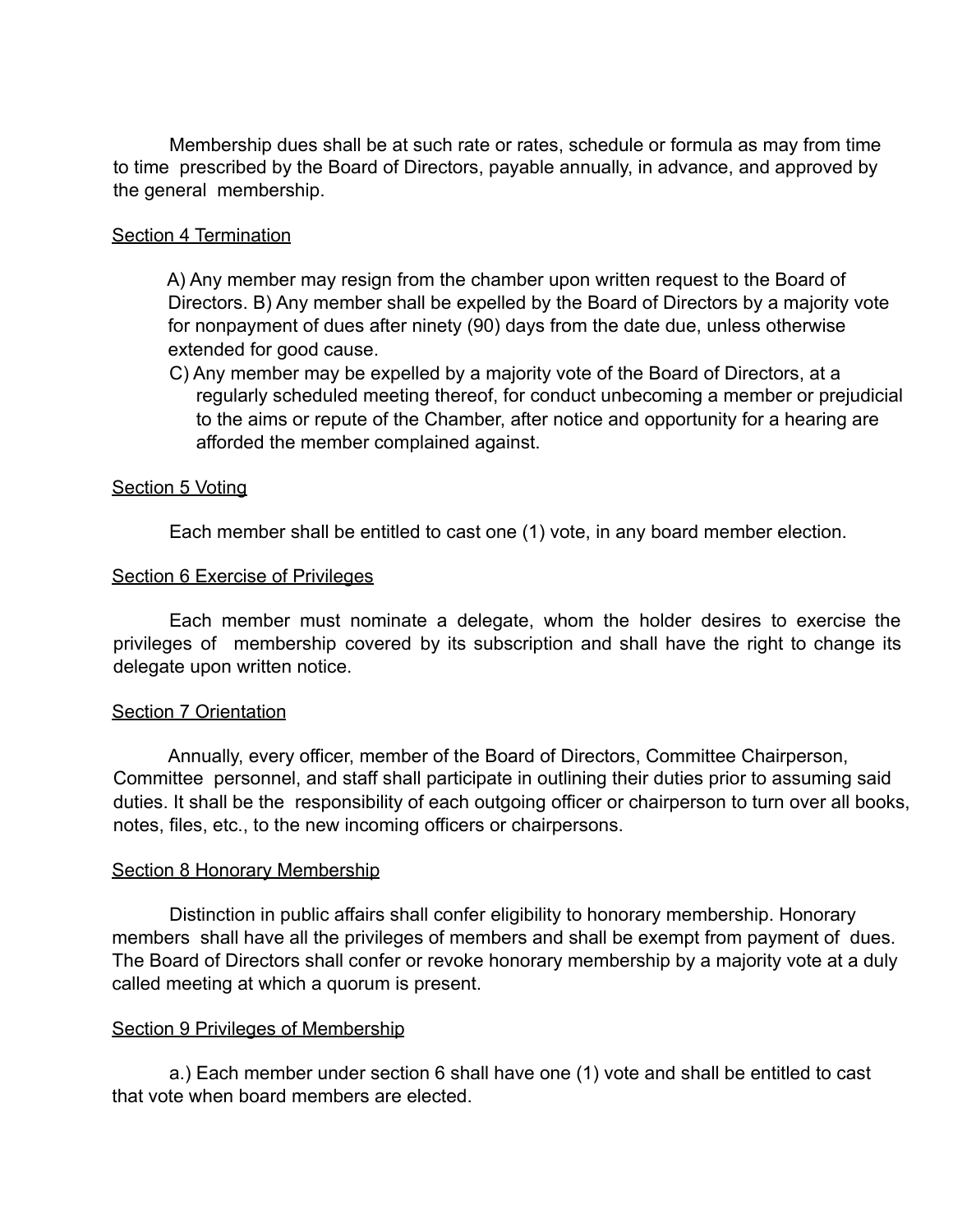Membership dues shall be at such rate or rates, schedule or formula as may from time to time prescribed by the Board of Directors, payable annually, in advance, and approved by the general membership.

#### Section 4 Termination

A) Any member may resign from the chamber upon written request to the Board of Directors. B) Any member shall be expelled by the Board of Directors by a majority vote for nonpayment of dues after ninety (90) days from the date due, unless otherwise extended for good cause.

C) Any member may be expelled by a majority vote of the Board of Directors, at a regularly scheduled meeting thereof, for conduct unbecoming a member or prejudicial to the aims or repute of the Chamber, after notice and opportunity for a hearing are afforded the member complained against.

# Section 5 Voting

Each member shall be entitled to cast one (1) vote, in any board member election.

#### Section 6 Exercise of Privileges

Each member must nominate a delegate, whom the holder desires to exercise the privileges of membership covered by its subscription and shall have the right to change its delegate upon written notice.

#### Section 7 Orientation

Annually, every officer, member of the Board of Directors, Committee Chairperson, Committee personnel, and staff shall participate in outlining their duties prior to assuming said duties. It shall be the responsibility of each outgoing officer or chairperson to turn over all books, notes, files, etc., to the new incoming officers or chairpersons.

#### Section 8 Honorary Membership

Distinction in public affairs shall confer eligibility to honorary membership. Honorary members shall have all the privileges of members and shall be exempt from payment of dues. The Board of Directors shall confer or revoke honorary membership by a majority vote at a duly called meeting at which a quorum is present.

#### Section 9 Privileges of Membership

a.) Each member under section 6 shall have one (1) vote and shall be entitled to cast that vote when board members are elected.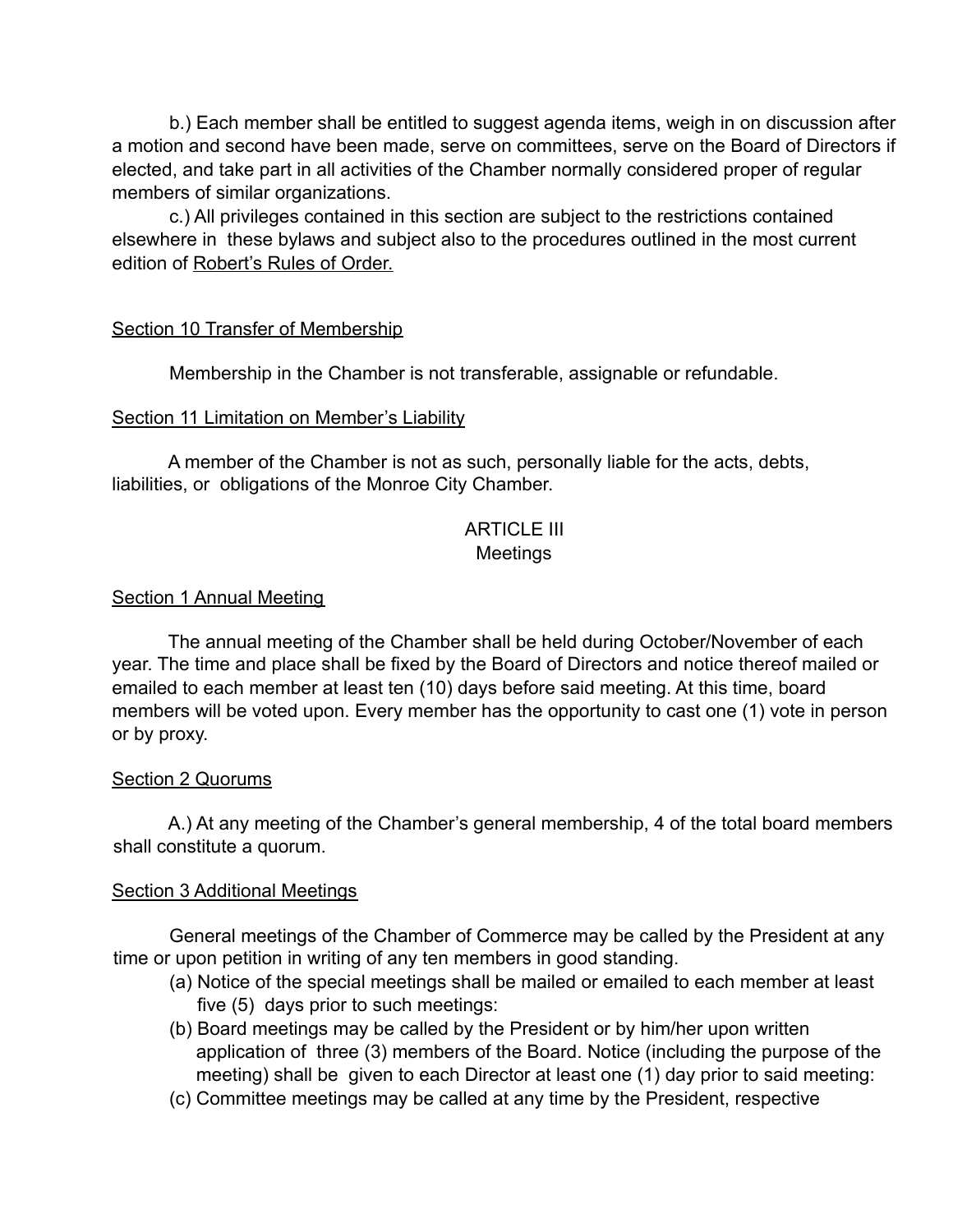b.) Each member shall be entitled to suggest agenda items, weigh in on discussion after a motion and second have been made, serve on committees, serve on the Board of Directors if elected, and take part in all activities of the Chamber normally considered proper of regular members of similar organizations.

c.) All privileges contained in this section are subject to the restrictions contained elsewhere in these bylaws and subject also to the procedures outlined in the most current edition of Robert's Rules of Order.

# Section 10 Transfer of Membership

Membership in the Chamber is not transferable, assignable or refundable.

# Section 11 Limitation on Member's Liability

A member of the Chamber is not as such, personally liable for the acts, debts, liabilities, or obligations of the Monroe City Chamber.

# ARTICI F III Meetings

# **Section 1 Annual Meeting**

The annual meeting of the Chamber shall be held during October/November of each year. The time and place shall be fixed by the Board of Directors and notice thereof mailed or emailed to each member at least ten (10) days before said meeting. At this time, board members will be voted upon. Every member has the opportunity to cast one (1) vote in person or by proxy.

# Section 2 Quorums

A.) At any meeting of the Chamber's general membership, 4 of the total board members shall constitute a quorum.

# Section 3 Additional Meetings

General meetings of the Chamber of Commerce may be called by the President at any time or upon petition in writing of any ten members in good standing.

- (a) Notice of the special meetings shall be mailed or emailed to each member at least five (5) days prior to such meetings:
- (b) Board meetings may be called by the President or by him/her upon written application of three (3) members of the Board. Notice (including the purpose of the meeting) shall be given to each Director at least one (1) day prior to said meeting:
- (c) Committee meetings may be called at any time by the President, respective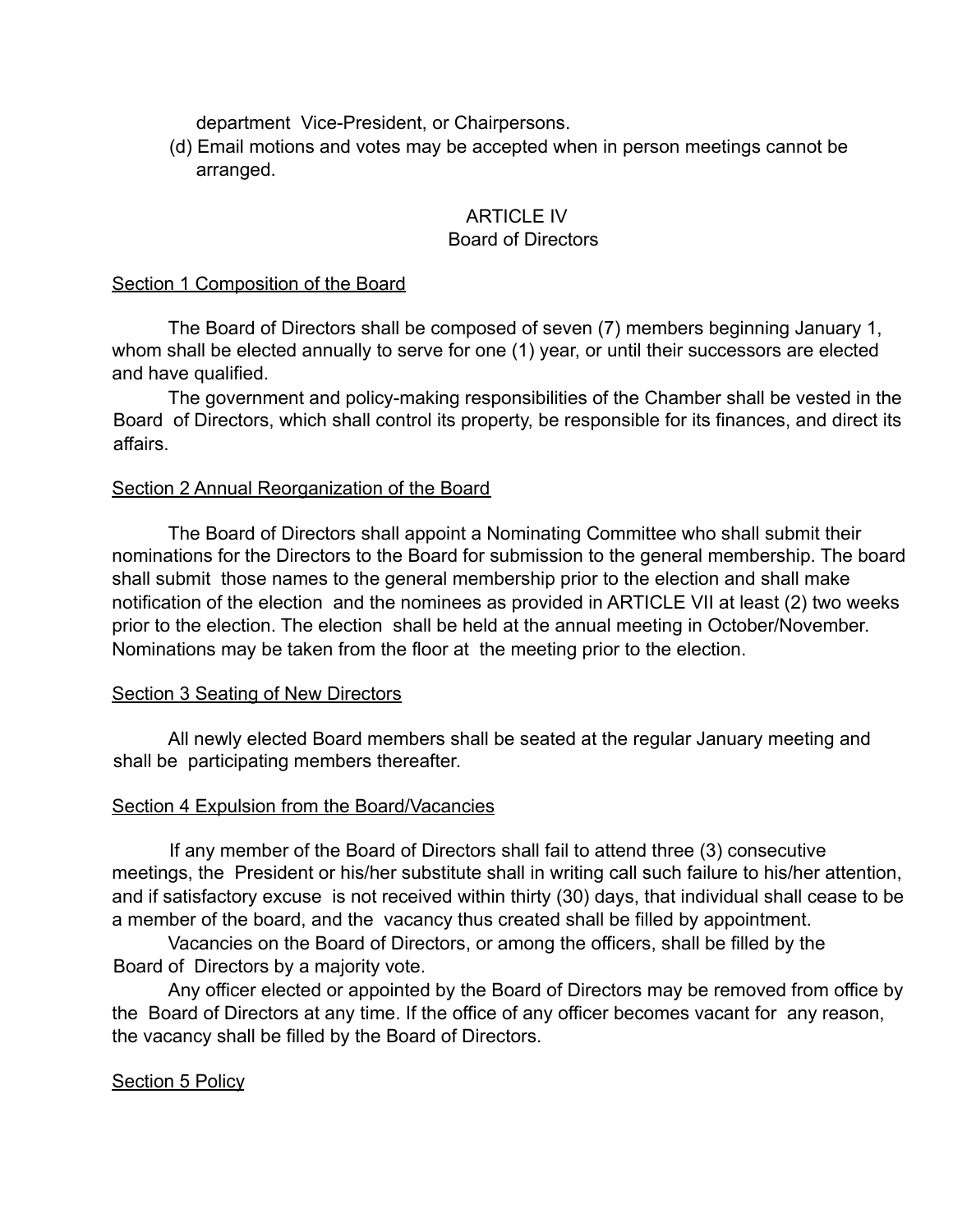department Vice-President, or Chairpersons.

(d) Email motions and votes may be accepted when in person meetings cannot be arranged.

# ARTICLE IV Board of Directors

#### Section 1 Composition of the Board

The Board of Directors shall be composed of seven (7) members beginning January 1, whom shall be elected annually to serve for one (1) year, or until their successors are elected and have qualified.

The government and policy-making responsibilities of the Chamber shall be vested in the Board of Directors, which shall control its property, be responsible for its finances, and direct its affairs.

# Section 2 Annual Reorganization of the Board

The Board of Directors shall appoint a Nominating Committee who shall submit their nominations for the Directors to the Board for submission to the general membership. The board shall submit those names to the general membership prior to the election and shall make notification of the election and the nominees as provided in ARTICLE VII at least (2) two weeks prior to the election. The election shall be held at the annual meeting in October/November. Nominations may be taken from the floor at the meeting prior to the election.

# Section 3 Seating of New Directors

All newly elected Board members shall be seated at the regular January meeting and shall be participating members thereafter.

# Section 4 Expulsion from the Board/Vacancies

If any member of the Board of Directors shall fail to attend three (3) consecutive meetings, the President or his/her substitute shall in writing call such failure to his/her attention, and if satisfactory excuse is not received within thirty (30) days, that individual shall cease to be a member of the board, and the vacancy thus created shall be filled by appointment.

Vacancies on the Board of Directors, or among the officers, shall be filled by the Board of Directors by a majority vote.

Any officer elected or appointed by the Board of Directors may be removed from office by the Board of Directors at any time. If the office of any officer becomes vacant for any reason, the vacancy shall be filled by the Board of Directors.

# Section 5 Policy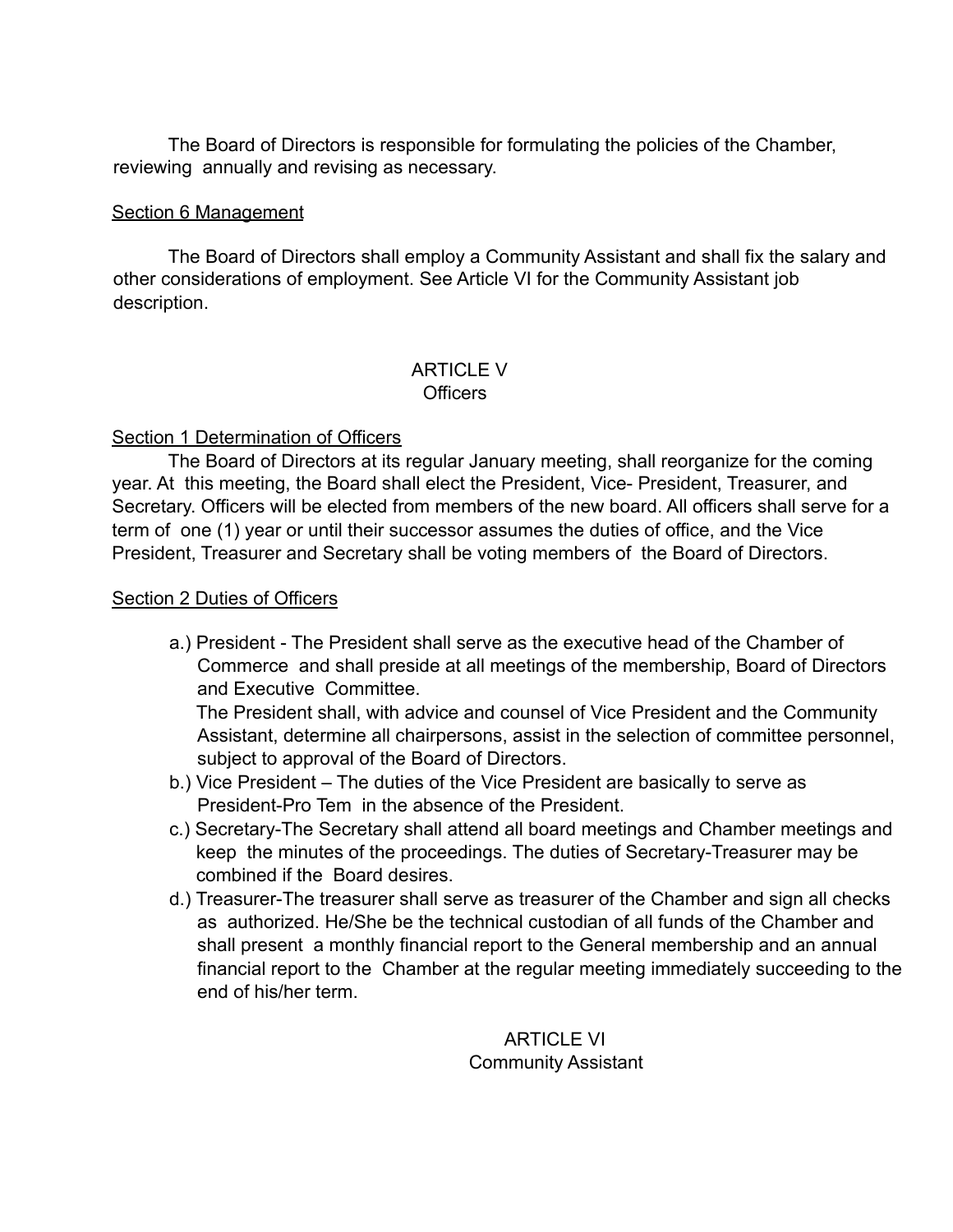The Board of Directors is responsible for formulating the policies of the Chamber, reviewing annually and revising as necessary.

# Section 6 Management

The Board of Directors shall employ a Community Assistant and shall fix the salary and other considerations of employment. See Article VI for the Community Assistant job description.

#### ARTICLE V **Officers**

# Section 1 Determination of Officers

The Board of Directors at its regular January meeting, shall reorganize for the coming year. At this meeting, the Board shall elect the President, Vice- President, Treasurer, and Secretary. Officers will be elected from members of the new board. All officers shall serve for a term of one (1) year or until their successor assumes the duties of office, and the Vice President, Treasurer and Secretary shall be voting members of the Board of Directors.

# Section 2 Duties of Officers

a.) President - The President shall serve as the executive head of the Chamber of Commerce and shall preside at all meetings of the membership, Board of Directors and Executive Committee.

The President shall, with advice and counsel of Vice President and the Community Assistant, determine all chairpersons, assist in the selection of committee personnel, subject to approval of the Board of Directors.

- b.) Vice President The duties of the Vice President are basically to serve as President-Pro Tem in the absence of the President.
- c.) Secretary-The Secretary shall attend all board meetings and Chamber meetings and keep the minutes of the proceedings. The duties of Secretary-Treasurer may be combined if the Board desires.
- d.) Treasurer-The treasurer shall serve as treasurer of the Chamber and sign all checks as authorized. He/She be the technical custodian of all funds of the Chamber and shall present a monthly financial report to the General membership and an annual financial report to the Chamber at the regular meeting immediately succeeding to the end of his/her term.

**ARTICLE VI** Community Assistant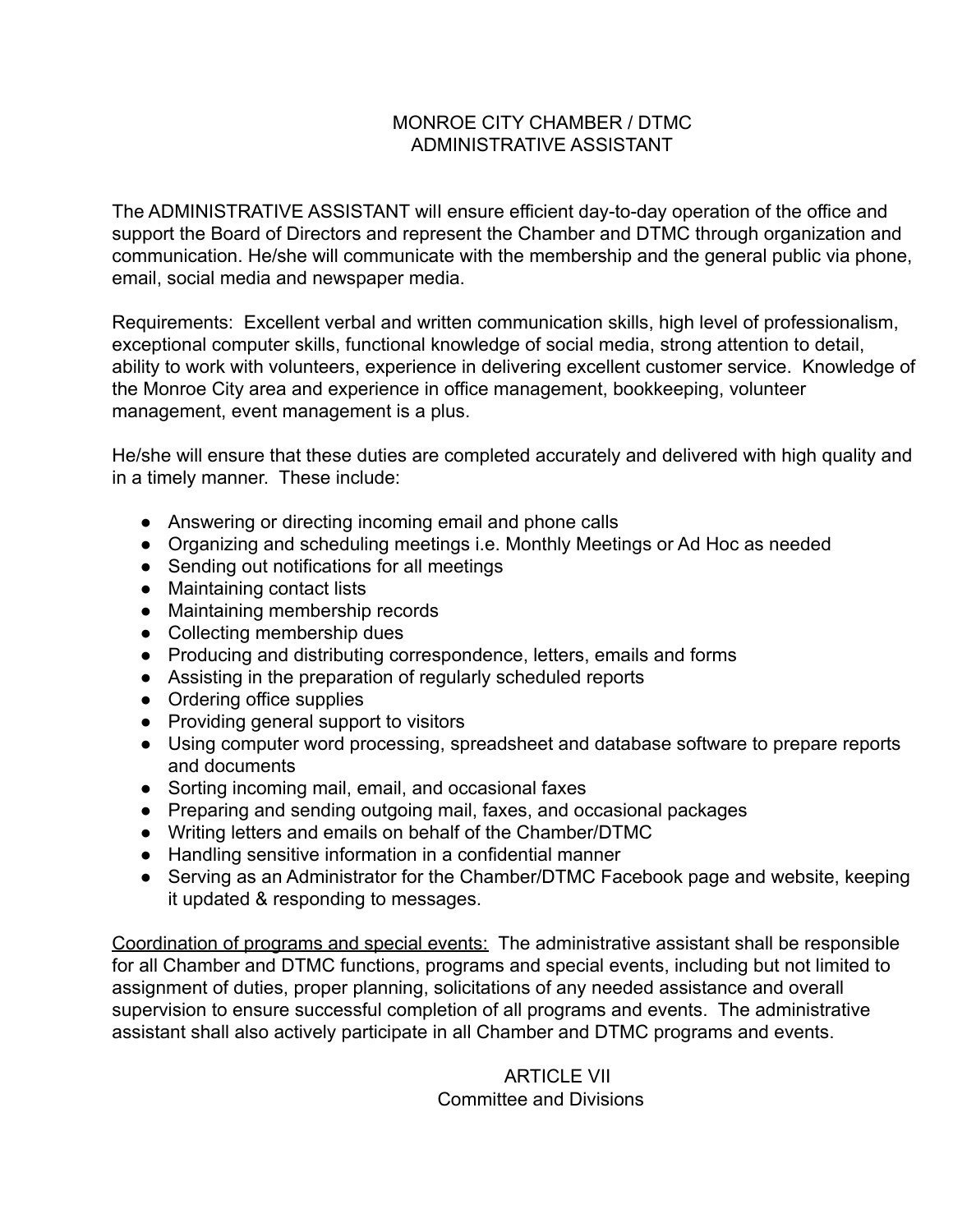# MONROE CITY CHAMBER / DTMC ADMINISTRATIVE ASSISTANT

The ADMINISTRATIVE ASSISTANT wilI ensure efficient day-to-day operation of the office and support the Board of Directors and represent the Chamber and DTMC through organization and communication. He/she will communicate with the membership and the general public via phone, email, social media and newspaper media.

Requirements: Excellent verbal and written communication skills, high level of professionalism, exceptional computer skills, functional knowledge of social media, strong attention to detail, ability to work with volunteers, experience in delivering excellent customer service. Knowledge of the Monroe City area and experience in office management, bookkeeping, volunteer management, event management is a plus.

He/she will ensure that these duties are completed accurately and delivered with high quality and in a timely manner. These include:

- Answering or directing incoming email and phone calls
- Organizing and scheduling meetings i.e. Monthly Meetings or Ad Hoc as needed
- Sending out notifications for all meetings
- Maintaining contact lists
- Maintaining membership records
- Collecting membership dues
- Producing and distributing correspondence, letters, emails and forms
- Assisting in the preparation of regularly scheduled reports
- Ordering office supplies
- Providing general support to visitors
- Using computer word processing, spreadsheet and database software to prepare reports and documents
- Sorting incoming mail, email, and occasional faxes
- Preparing and sending outgoing mail, faxes, and occasional packages
- Writing letters and emails on behalf of the Chamber/DTMC
- Handling sensitive information in a confidential manner
- Serving as an Administrator for the Chamber/DTMC Facebook page and website, keeping it updated & responding to messages.

Coordination of programs and special events: The administrative assistant shall be responsible for all Chamber and DTMC functions, programs and special events, including but not limited to assignment of duties, proper planning, solicitations of any needed assistance and overall supervision to ensure successful completion of all programs and events. The administrative assistant shall also actively participate in all Chamber and DTMC programs and events.

# ARTICLE VII Committee and Divisions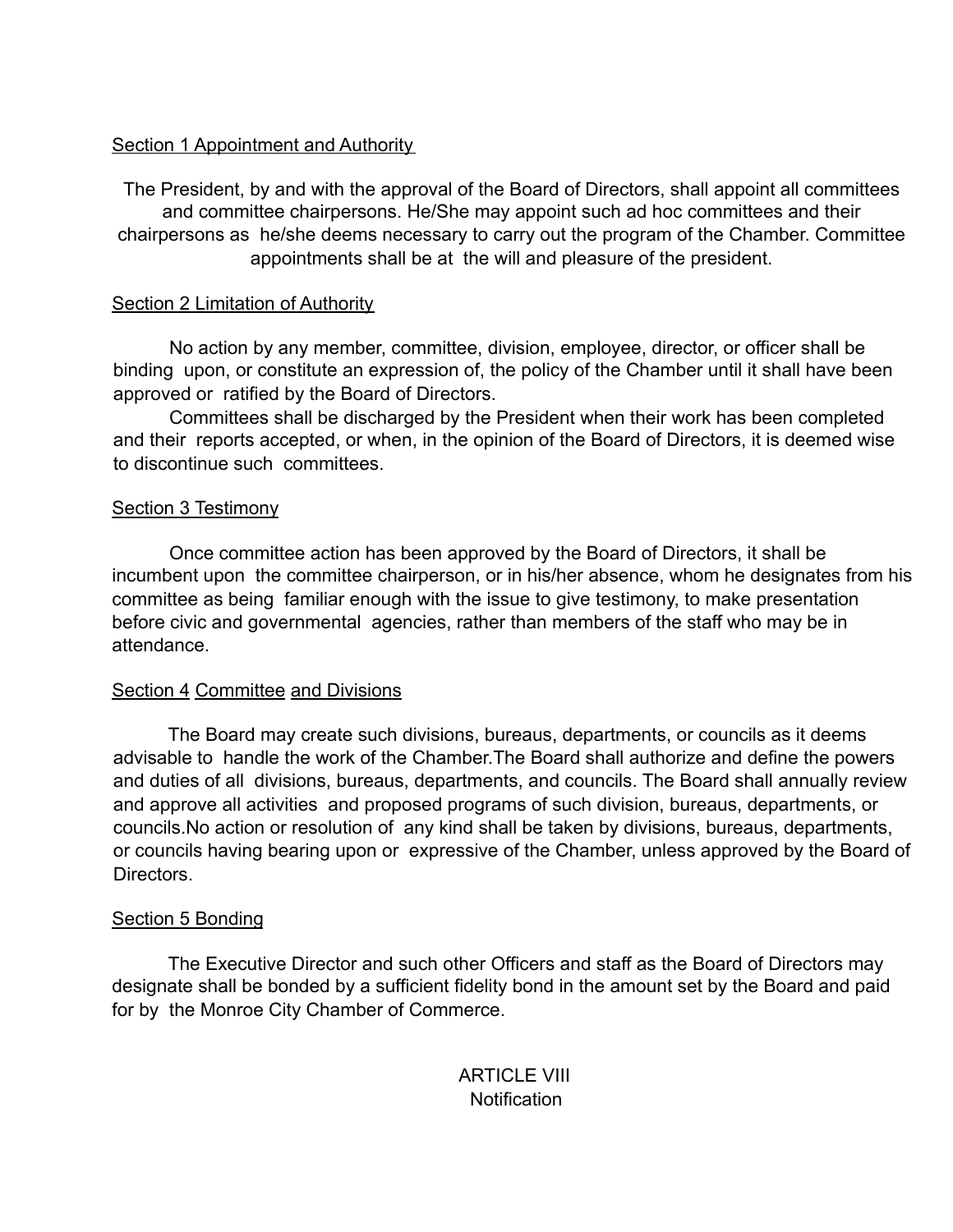# Section 1 Appointment and Authority

The President, by and with the approval of the Board of Directors, shall appoint all committees and committee chairpersons. He/She may appoint such ad hoc committees and their chairpersons as he/she deems necessary to carry out the program of the Chamber. Committee appointments shall be at the will and pleasure of the president.

# **Section 2 Limitation of Authority**

No action by any member, committee, division, employee, director, or officer shall be binding upon, or constitute an expression of, the policy of the Chamber until it shall have been approved or ratified by the Board of Directors.

Committees shall be discharged by the President when their work has been completed and their reports accepted, or when, in the opinion of the Board of Directors, it is deemed wise to discontinue such committees.

# Section 3 Testimony

Once committee action has been approved by the Board of Directors, it shall be incumbent upon the committee chairperson, or in his/her absence, whom he designates from his committee as being familiar enough with the issue to give testimony, to make presentation before civic and governmental agencies, rather than members of the staff who may be in attendance.

# Section 4 Committee and Divisions

The Board may create such divisions, bureaus, departments, or councils as it deems advisable to handle the work of the Chamber.The Board shall authorize and define the powers and duties of all divisions, bureaus, departments, and councils. The Board shall annually review and approve all activities and proposed programs of such division, bureaus, departments, or councils.No action or resolution of any kind shall be taken by divisions, bureaus, departments, or councils having bearing upon or expressive of the Chamber, unless approved by the Board of Directors.

# Section 5 Bonding

The Executive Director and such other Officers and staff as the Board of Directors may designate shall be bonded by a sufficient fidelity bond in the amount set by the Board and paid for by the Monroe City Chamber of Commerce.

> **ARTICLE VIII Notification**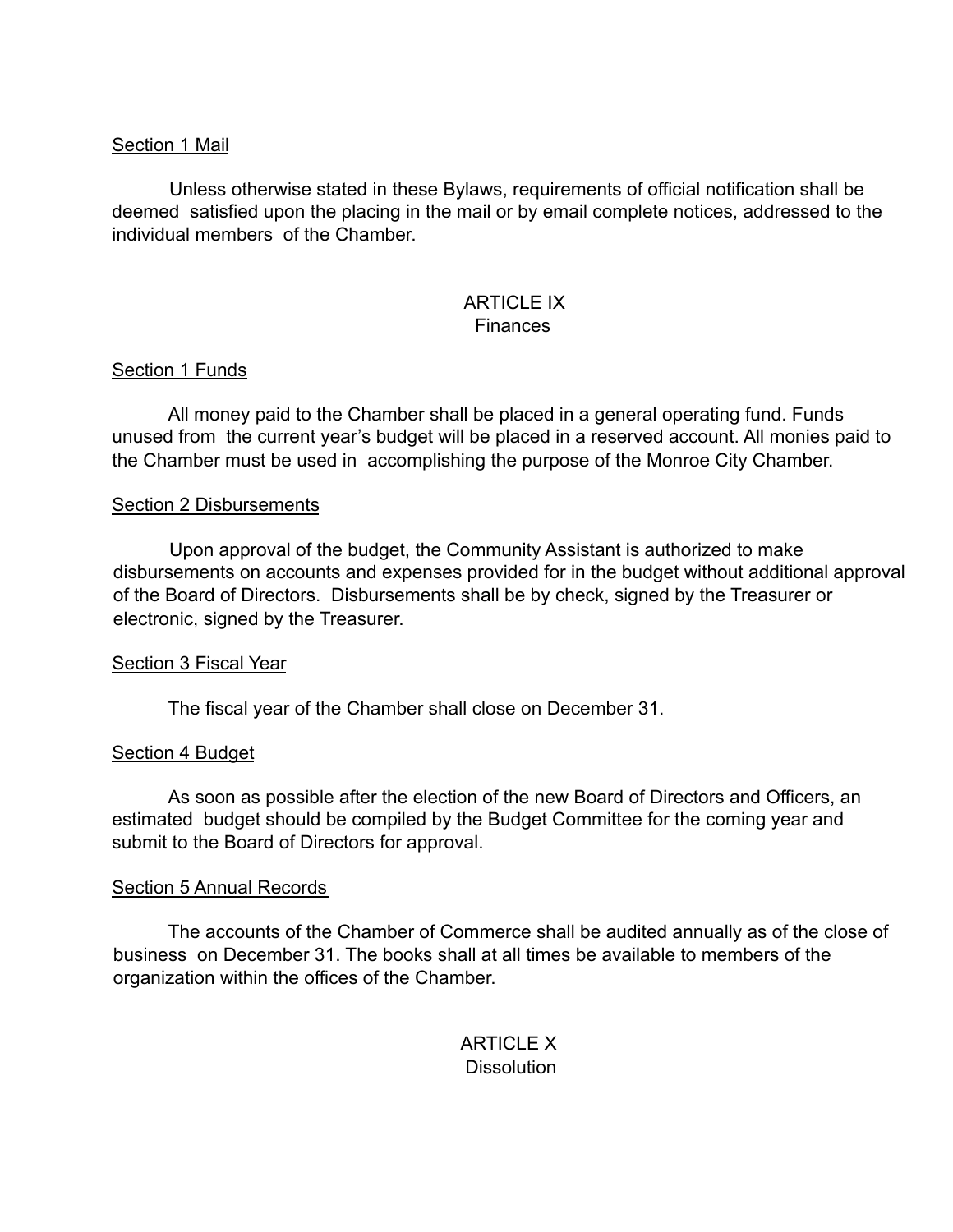### Section 1 Mail

Unless otherwise stated in these Bylaws, requirements of official notification shall be deemed satisfied upon the placing in the mail or by email complete notices, addressed to the individual members of the Chamber.

# ARTICLE IX

# **Finances**

# Section 1 Funds

All money paid to the Chamber shall be placed in a general operating fund. Funds unused from the current year's budget will be placed in a reserved account. All monies paid to the Chamber must be used in accomplishing the purpose of the Monroe City Chamber.

#### Section 2 Disbursements

Upon approval of the budget, the Community Assistant is authorized to make disbursements on accounts and expenses provided for in the budget without additional approval of the Board of Directors. Disbursements shall be by check, signed by the Treasurer or electronic, signed by the Treasurer.

# Section 3 Fiscal Year

The fiscal year of the Chamber shall close on December 31.

#### Section 4 Budget

As soon as possible after the election of the new Board of Directors and Officers, an estimated budget should be compiled by the Budget Committee for the coming year and submit to the Board of Directors for approval.

#### Section 5 Annual Records

The accounts of the Chamber of Commerce shall be audited annually as of the close of business on December 31. The books shall at all times be available to members of the organization within the offices of the Chamber.

# ARTICI F X **Dissolution**